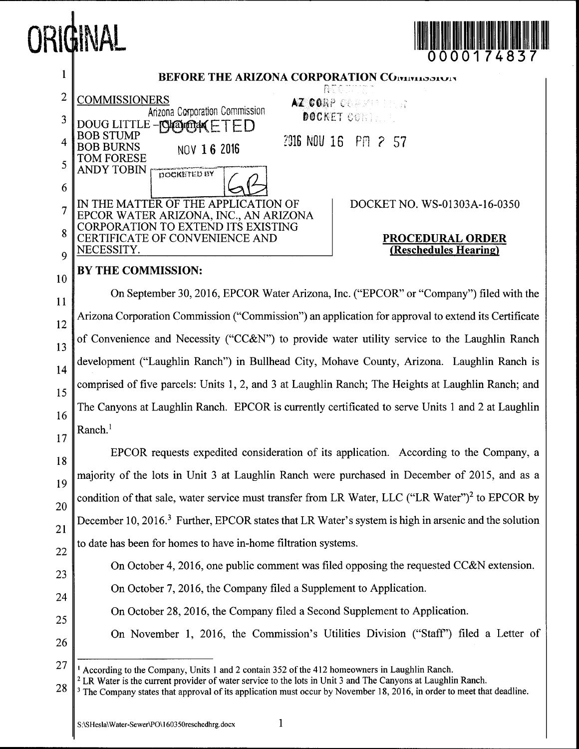



 $2$  LR Water is the current provider of water service to the lots in Unit 3 and The Canyons at Laughlin Ranch.

 $\mathbf{1}$ 

<sup>28</sup>  $3$  The Company states that approval of its application must occur by November 18, 2016, in order to meet that deadline.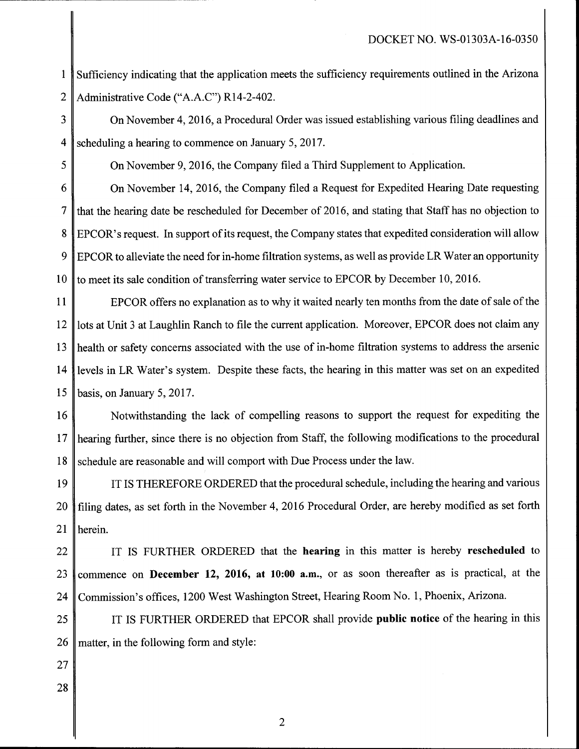1 Sufficiency indicating that the application meets the sufficiency requirements outlined in the Arizona 2 Administrative Code ("A.A.C") R14-2-402.

3 4 scheduling a hearing to commence on January 5, 2017. On November 4, 2016, a Procedural Order was issued establishing various filing deadlines and

 $5 \parallel$  On November 9, 2016, the Company filed a Third Supplement to Application.

6 On November 14, 2016, the Company filed a Request for Expedited Hearing Date requesting  $7 \parallel$  that the hearing date be rescheduled for December of 2016, and stating that Staff has no objection to 8 EPCOR's request. In support of its request, the Company states that expedited consideration will allow  $9 \parallel$  EPCOR to alleviate the need for in-home filtration systems, as well as provide LR Water an opportunity 10  $\parallel$  to meet its sale condition of transferring water service to EPCOR by December 10, 2016.

11  $\parallel$  EPCOR offers no explanation as to why it waited nearly ten months from the date of sale of the 12 | lots at Unit 3 at Laughlin Ranch to file the current application. Moreover, EPCOR does not claim any 13  $\parallel$  health or safety concerns associated with the use of in-home filtration systems to address the arsenic 14 levels in LR Water's system. Despite these facts, the hearing in this matter was set on an expedited basis, on January  $5, 2017$ . 15

16 Notwithstanding the lack of compelling reasons to support the request for expediting the 17 hearing further, since there is no objection from Staff, the following modifications to the procedural 18 schedule are reasonable and will comport with Due Process under the law.

19 IT IS THEREFORE ORDERED that the procedural schedule, including the hearing and various 20 filing dates, as set forth in the November 4, 2016 Procedural Order, are hereby modified as set forth 21 | herein.

22 THE R ORDERED that the **hearing** in this matter is hereby **rescheduled** to 23 commence on **December 12, 2016, at 10:00 a.m.**, or as soon thereafter as is practical, at the 24 || Commission's offices, 1200 West Washington Street, Hearing Room No. 1, Phoenix, Arizona.

25 IT IS FURTHER ORDERED that EPCOR shall provide **public notice** of the hearing in this  $26$  matter, in the following form and style:

- 27
- 28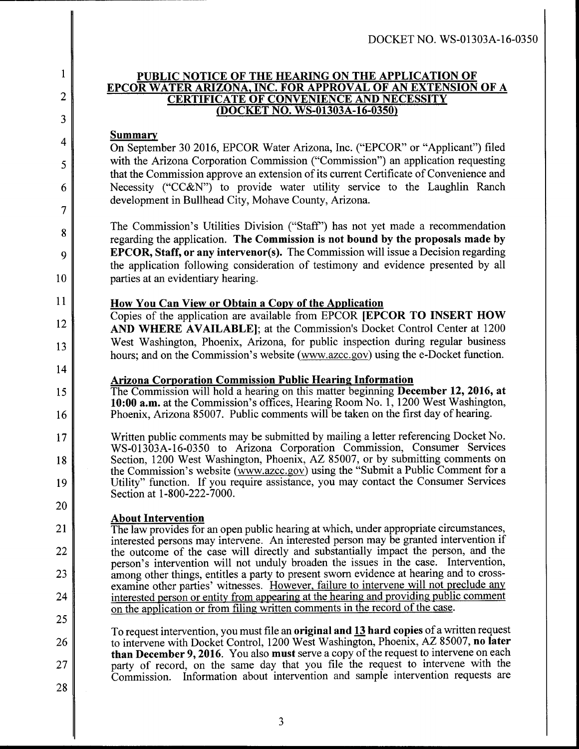## **PUBLIC NOTICE OF THE HEARING ON THE APPLICATION OF EPCOR WATER ARIZONA, INC. FOR APPROVAL OF AN EXTENSION OF A CERTIFICATE OF CONVENIENCE AND NECESSITY (DOCKET no. WS-01303A-16-0350)**

## **Summary**

1

2

3

4

5

6

7

8

9

10

12

13

1 4

15

1 6

20

21

22

23

24

25

On September 30 2016, EPCOR Water Arizona, Inc. ("EPCOR" or "Applicant") filed with the Arizona Corporation Commission ("Commission") an application requesting that the Commission approve an extension of its current Certificate of Convenience and Necessity ("CC&N") to provide water utility service to the Laughlin Ranch development in Bullhead City, Mohave County, Arizona.

The Commission's Utilities Division ("Staff") has not yet made a recommendation regarding the application. The Commission is not bound by the proposals made by **EPCOR, Staff, or any intervenor(s).** The Commission will issue a Decision regarding the application following consideration of testimony and evidence presented by all parties at an evidentiary hearing.

# $11$  How You Can View or Obtain a Copy of the Application

Copies of the application are available from EPCOR [EPCOR TO INSERT HOW AND WHERE AVAILABLE]; at the Commission's Docket Control Center at 1200 West Washington, Phoenix, Arizona, for public inspection during regular business hours; and on the Commission's website (www.azcc.gov) using the e-Docket function.

## Arizona Corporation Commission Public Hearing Information

The Commission will hold a hearing on this matter beginning **December 12, 2016, at** 10:00 a.m. at the Commission's offices, Hearing Room No. 1, 1200 West Washington, Phoenix, Arizona 85007. Public comments will be taken on the first day of hearing.

17 1 8 19 Written public comments may be submitted by mailing a letter referencing Docket No. WS-01303A-16-0350 to Arizona Corporation Commission, Consumer Services Section, 1200 West Washington, Phoenix, AZ 85007, or by submitting comments on the Commission's website (www.azcc.gov) using the "Submit a Public Comment for a Utility" function. If you require assistance, you may contact the Consumer Services Section at 1-800-222-7000.

# **About Intervention**

The law provides for an open public hearing at which, under appropriate circumstances, interested persons may intervene. An interested person may be granted intervention if the outcome of the case will directly and substantially impact the person, and the person's intervention will not unduly broaden the issues in the case. Intervention, among other things, entitles a party to present sworn evidence at hearing and to crossexamine other parties' witnesses. However, failure to intervene will not preclude any interested person or entity from appearing at the hearing and providing public comment on the application or from filing written comments in the record of the case.

26 27 To request intervention, you must file an original and 13 hard copies of a written request to intervene with Docket Control, 1200 West Washington, Phoenix, AZ 85007, no later than December 9, 2016. You also must serve a copy of the request to intervene on each party of record, on the same day that you file the request to intervene with the Commission. Information about intervention and sample intervention requests are

28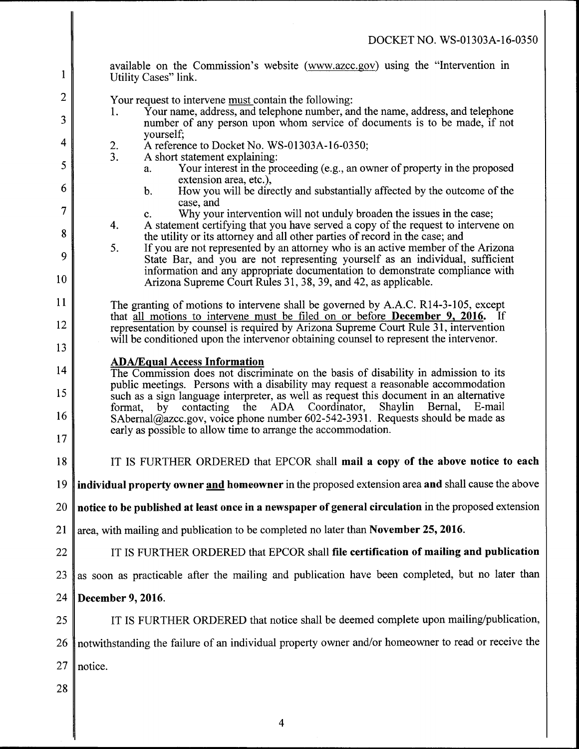| 1        | available on the Commission's website (www.azcc.gov) using the "Intervention in<br>Utility Cases" link.                                                                                                                                                                |
|----------|------------------------------------------------------------------------------------------------------------------------------------------------------------------------------------------------------------------------------------------------------------------------|
| 2        | Your request to intervene must contain the following:                                                                                                                                                                                                                  |
| 3        | Your name, address, and telephone number, and the name, address, and telephone<br>1.<br>number of any person upon whom service of documents is to be made, if not                                                                                                      |
| 4        | yourself;<br>A reference to Docket No. WS-01303A-16-0350;<br>$\frac{2}{3}$ .                                                                                                                                                                                           |
| 5        | A short statement explaining:<br>Your interest in the proceeding (e.g., an owner of property in the proposed<br>a.<br>extension area, etc.),                                                                                                                           |
| 6        | How you will be directly and substantially affected by the outcome of the<br>b.                                                                                                                                                                                        |
| 7        | case, and<br>Why your intervention will not unduly broaden the issues in the case;<br>$C_{\star}$                                                                                                                                                                      |
| 8        | A statement certifying that you have served a copy of the request to intervene on<br>4.<br>the utility or its attorney and all other parties of record in the case; and                                                                                                |
| 9        | If you are not represented by an attorney who is an active member of the Arizona<br>5.<br>State Bar, and you are not representing yourself as an individual, sufficient                                                                                                |
| 10       | information and any appropriate documentation to demonstrate compliance with<br>Arizona Supreme Court Rules 31, 38, 39, and 42, as applicable.                                                                                                                         |
| 11       | The granting of motions to intervene shall be governed by A.A.C. R14-3-105, except                                                                                                                                                                                     |
| 12       | that all motions to intervene must be filed on or before <b>December 9, 2016.</b> If<br>representation by counsel is required by Arizona Supreme Court Rule 31, intervention<br>will be conditioned upon the intervenor obtaining counsel to represent the intervenor. |
| 13       | <b>ADA/Equal Access Information</b>                                                                                                                                                                                                                                    |
| 14       | The Commission does not discriminate on the basis of disability in admission to its                                                                                                                                                                                    |
| 15       | public meetings. Persons with a disability may request a reasonable accommodation<br>such as a sign language interpreter, as well as request this document in an alternative<br>by contacting the ADA Coordinator, Shaylin Bernal, E-mail<br>format,                   |
| 16<br>17 | SAbernal@azcc.gov, voice phone number 602-542-3931. Requests should be made as<br>early as possible to allow time to arrange the accommodation.                                                                                                                        |
| 18       | IT IS FURTHER ORDERED that EPCOR shall mail a copy of the above notice to each                                                                                                                                                                                         |
| 19       | individual property owner and homeowner in the proposed extension area and shall cause the above                                                                                                                                                                       |
| 20       | notice to be published at least once in a newspaper of general circulation in the proposed extension                                                                                                                                                                   |
| 21       | area, with mailing and publication to be completed no later than November 25, 2016.                                                                                                                                                                                    |
| 22       | IT IS FURTHER ORDERED that EPCOR shall file certification of mailing and publication                                                                                                                                                                                   |
| 23       | as soon as practicable after the mailing and publication have been completed, but no later than                                                                                                                                                                        |
| 24       | December 9, 2016.                                                                                                                                                                                                                                                      |
| 25       | IT IS FURTHER ORDERED that notice shall be deemed complete upon mailing/publication,                                                                                                                                                                                   |
| 26       | notwithstanding the failure of an individual property owner and/or homeowner to read or receive the                                                                                                                                                                    |
| 27       | notice.                                                                                                                                                                                                                                                                |
| 28       |                                                                                                                                                                                                                                                                        |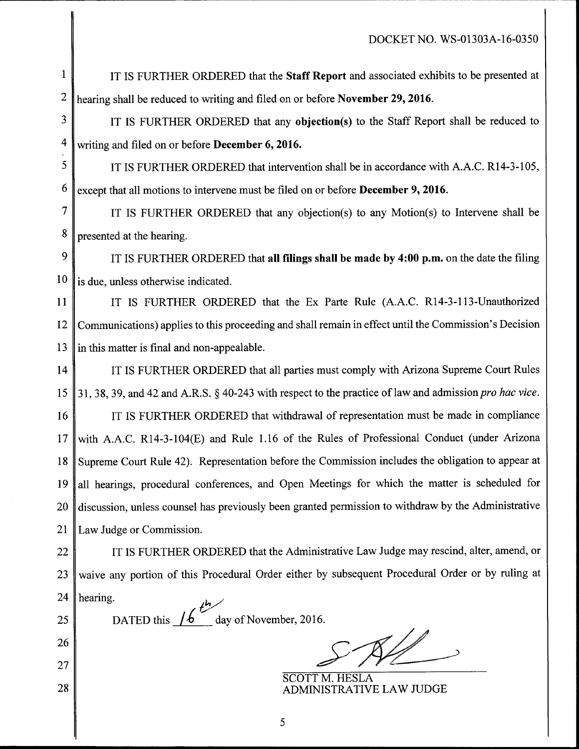IT IS FURTHER ORDERED that the **Staff Report** and associated exhibits to be presented at 2 hearing shall be reduced to writing and filed on or before November 29, 2016. 1

 $3 \parallel$  IT IS FURTHER ORDERED that any objection(s) to the Staff Report shall be reduced to  $4 \text{ writing and filed on or before December 6, 2016.}$ 

 $\frac{5 \text{ N}}{2}$  IT IS FURTHER ORDERED that intervention shall be in accordance with A.A.C. R14-3-105,  $6 \parallel$  except that all motions to intervene must be filed on or before **December 9, 2016**.

7 IT IS FURTHER ORDERED that any objection(s) to any Motion(s) to Intervene shall be 8 presented at the hearing.

9 IT IS FURTHER ORDERED that all filings shall be made by 4:00 p.m. on the date the filing  $10 \parallel$  is due, unless otherwise indicated.

11 | IT IS FURTHER ORDERED that the Ex Parte Rule (A.A.C. R14-3-113-Unauthorized 12 Communications) applies to this proceeding and shall remain in effect until the Commission's Decision 13  $\parallel$  in this matter is final and non-appealable.

14 IT IS FURTHER ORDERED that all parties must comply with Arizona Supreme Court Rules 15 | 31, 38, 39, and 42 and A.R.S.  $\S$  40-243 with respect to the practice of law and admission *pro hac vice*.

16 IT IS FURTHER ORDERED that withdrawal of representation must be made in compliance 17 with A.A.C. R14-3-104(E) and Rule 1.16 of the Rules of Professional Conduct (under Arizona 18 Supreme Court Rule 42). Representation before the Commission includes the obligation to appear at 19 all hearings, procedural conferences, and Open Meetings for which the matter is scheduled for 20 discussion, unless counsel has previously been granted permission to withdraw by the Administrative 21 | Law Judge or Commission.

22 | IT IS FURTHER ORDERED that the Administrative Law Judge may rescind, alter, amend, or 23 waive any portion of this Procedural Order either by subsequent Procedural Order or by ruling at 24 | hearing. /'~/'

25

26

27

28

l lui lui lui lui lulla lulla lulla lulla lulla lulla lulla lulla lulla lulla lulla lulla lulla lulla lulla lu

DATED this  $/6$  day of November, 2016.

 $R\mathbb{Z}$ 

SCOTT M. HESLA ADMINISTRATIVE LAW JUDGE